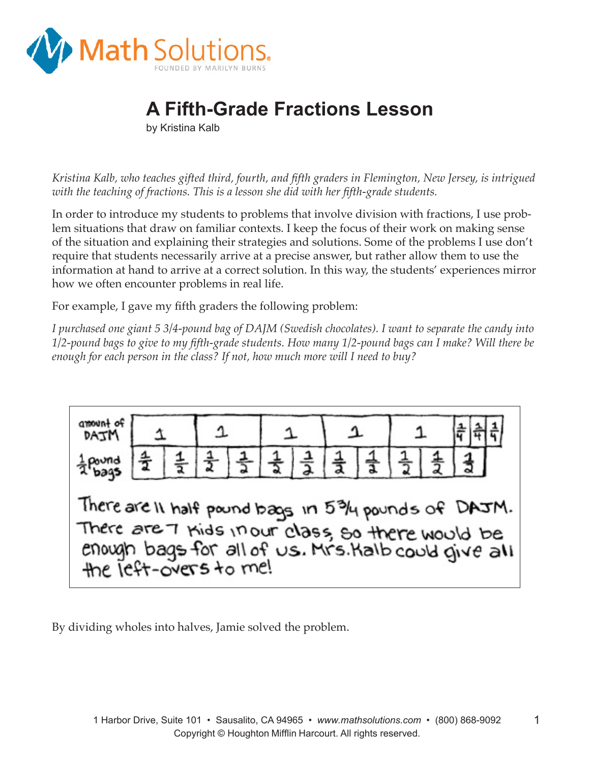

## **A Fifth-Grade Fractions Lesson**

by Kristina Kalb

*Kristina Kalb, who teaches gifted third, fourth, and fifth graders in Flemington, New Jersey, is intrigued with the teaching of fractions. This is a lesson she did with her fifth-grade students.* 

In order to introduce my students to problems that involve division with fractions, I use problem situations that draw on familiar contexts. I keep the focus of their work on making sense of the situation and explaining their strategies and solutions. Some of the problems I use don't require that students necessarily arrive at a precise answer, but rather allow them to use the information at hand to arrive at a correct solution. In this way, the students' experiences mirror how we often encounter problems in real life.

For example, I gave my fifth graders the following problem:

*I purchased one giant 5 3/4-pound bag of DAJM (Swedish chocolates). I want to separate the candy into 1/2-pound bags to give to my fifth-grade students. How many 1/2-pound bags can I make? Will there be enough for each person in the class? If not, how much more will I need to buy?*



By dividing wholes into halves, Jamie solved the problem.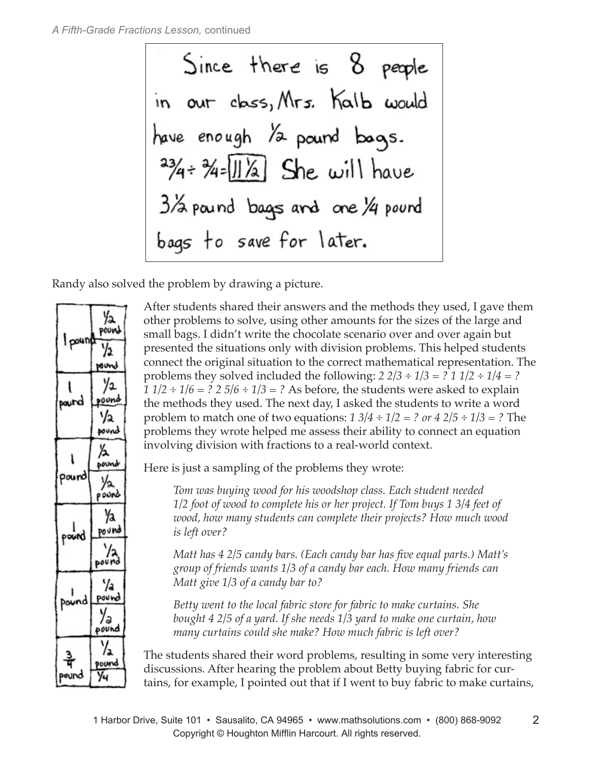Since there is 8 people in our class, Mrs. Kalb would have enough /2 pound bags.  $3/4$   $\div$   $\frac{3}{4}$   $\div$   $\frac{11}{4}$   $\div$  She will have 3/2 pound bags and one 1/4 pound bags to save for later.

Randy also solved the problem by drawing a picture.



After students shared their answers and the methods they used, I gave them other problems to solve, using other amounts for the sizes of the large and small bags. I didn't write the chocolate scenario over and over again but presented the situations only with division problems. This helped students connect the original situation to the correct mathematical representation. The problems they solved included the following:  $2 \frac{2}{3} \div \frac{1}{3} = ? \frac{1}{2} \div \frac{1}{4} = ?$ *1 1/2 ÷ 1/6 = ? 2 5/6 ÷ 1/3 = ?* As before, the students were asked to explain the methods they used. The next day, I asked the students to write a word problem to match one of two equations: *1 3/4 ÷ 1/2 = ? or 4 2/5 ÷ 1/3 = ?* The problems they wrote helped me assess their ability to connect an equation involving division with fractions to a real-world context.

Here is just a sampling of the problems they wrote:

*Tom was buying wood for his woodshop class. Each student needed 1/2 foot of wood to complete his or her project. If Tom buys 1 3/4 feet of wood, how many students can complete their projects? How much wood is left over?* 

*Matt has 4 2/5 candy bars. (Each candy bar has five equal parts.) Matt's group of friends wants 1/3 of a candy bar each. How many friends can Matt give 1/3 of a candy bar to?* 

*Betty went to the local fabric store for fabric to make curtains. She bought 4 2/5 of a yard. If she needs 1/3 yard to make one curtain, how many curtains could she make? How much fabric is left over?*

The students shared their word problems, resulting in some very interesting discussions. After hearing the problem about Betty buying fabric for curtains, for example, I pointed out that if I went to buy fabric to make curtains,